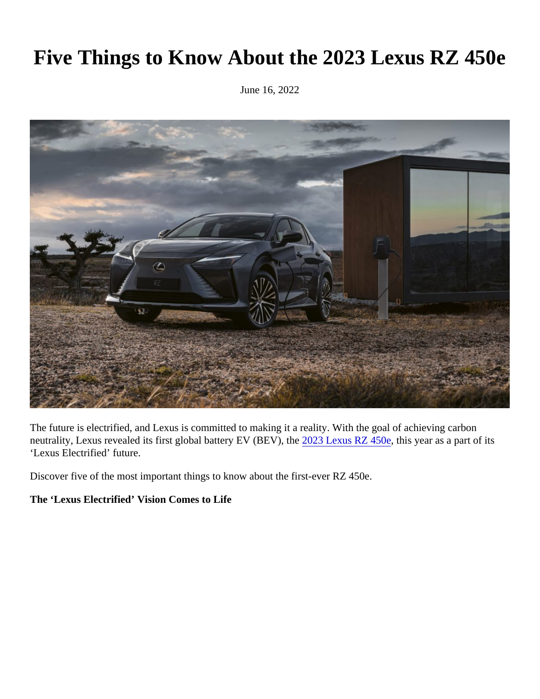# Five Things to Know About the 2023 Lexus RZ 450e

June 16, 2022

The future is electrified, and Lexus is committed to making it a reality. With the goal of achieving carbon neutrality[,](https://pressroom.lexus.com/vehicle/2023-lexus-rz/) Lexus revealed its first global battery EV (BEV), 2023 Lexus RZ 450 this year as a part of its 'Lexus Electrified' future.

Discover five of the most important things to know about the first-ever RZ 450e.

The 'Lexus Electrified' Vision Comes to Life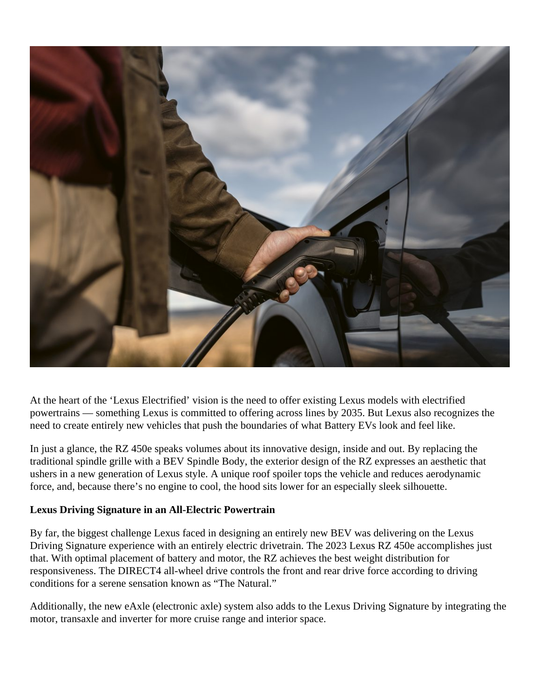

At the heart of the 'Lexus Electrified' vision is the need to offer existing Lexus models with electrified powertrains — something Lexus is committed to offering across lines by 2035. But Lexus also recognizes the need to create entirely new vehicles that push the boundaries of what Battery EVs look and feel like.

In just a glance, the RZ 450e speaks volumes about its innovative design, inside and out. By replacing the traditional spindle grille with a BEV Spindle Body, the exterior design of the RZ expresses an aesthetic that ushers in a new generation of Lexus style. A unique roof spoiler tops the vehicle and reduces aerodynamic force, and, because there's no engine to cool, the hood sits lower for an especially sleek silhouette.

# **Lexus Driving Signature in an All-Electric Powertrain**

By far, the biggest challenge Lexus faced in designing an entirely new BEV was delivering on the Lexus Driving Signature experience with an entirely electric drivetrain. The 2023 Lexus RZ 450e accomplishes just that. With optimal placement of battery and motor, the RZ achieves the best weight distribution for responsiveness. The DIRECT4 all-wheel drive controls the front and rear drive force according to driving conditions for a serene sensation known as "The Natural."

Additionally, the new eAxle (electronic axle) system also adds to the Lexus Driving Signature by integrating the motor, transaxle and inverter for more cruise range and interior space.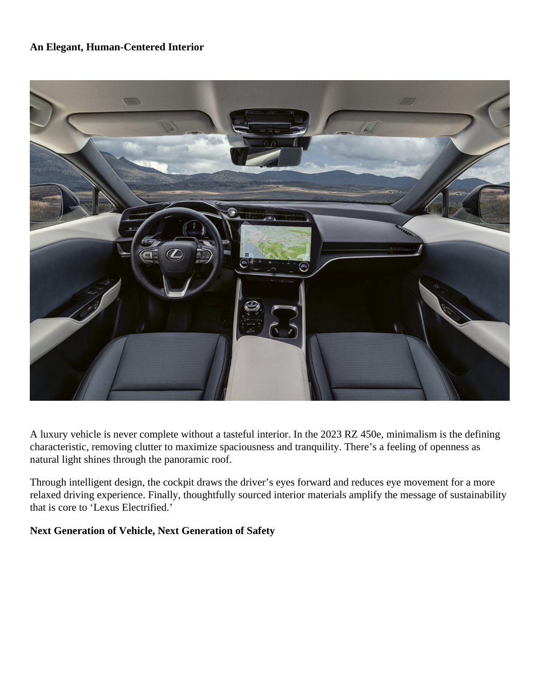#### **An Elegant, Human-Centered Interior**



A luxury vehicle is never complete without a tasteful interior. In the 2023 RZ 450e, minimalism is the defining characteristic, removing clutter to maximize spaciousness and tranquility. There's a feeling of openness as natural light shines through the panoramic roof.

Through intelligent design, the cockpit draws the driver's eyes forward and reduces eye movement for a more relaxed driving experience. Finally, thoughtfully sourced interior materials amplify the message of sustainability that is core to 'Lexus Electrified.'

## **Next Generation of Vehicle, Next Generation of Safety**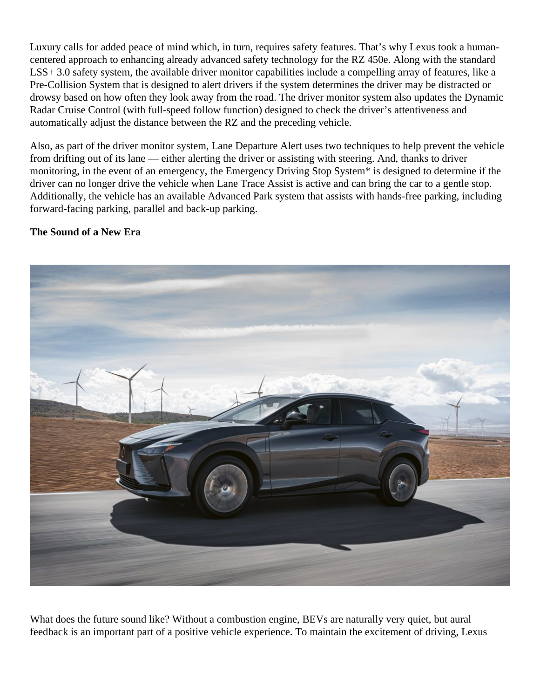Luxury calls for added peace of mind which, in turn, requires safety features. That's why Lexus took a humancentered approach to enhancing already advanced safety technology for the RZ 450e. Along with the standard LSS+ 3.0 safety system, the available driver monitor capabilities include a compelling array of features, like a Pre-Collision System that is designed to alert drivers if the system determines the driver may be distracted or drowsy based on how often they look away from the road. The driver monitor system also updates the Dynamic Radar Cruise Control (with full-speed follow function) designed to check the driver's attentiveness and automatically adjust the distance between the RZ and the preceding vehicle.

Also, as part of the driver monitor system, Lane Departure Alert uses two techniques to help prevent the vehicle from drifting out of its lane — either alerting the driver or assisting with steering. And, thanks to driver monitoring, in the event of an emergency, the Emergency Driving Stop System\* is designed to determine if the driver can no longer drive the vehicle when Lane Trace Assist is active and can bring the car to a gentle stop. Additionally, the vehicle has an available Advanced Park system that assists with hands-free parking, including forward-facing parking, parallel and back-up parking.

### **The Sound of a New Era**



What does the future sound like? Without a combustion engine, BEVs are naturally very quiet, but aural feedback is an important part of a positive vehicle experience. To maintain the excitement of driving, Lexus